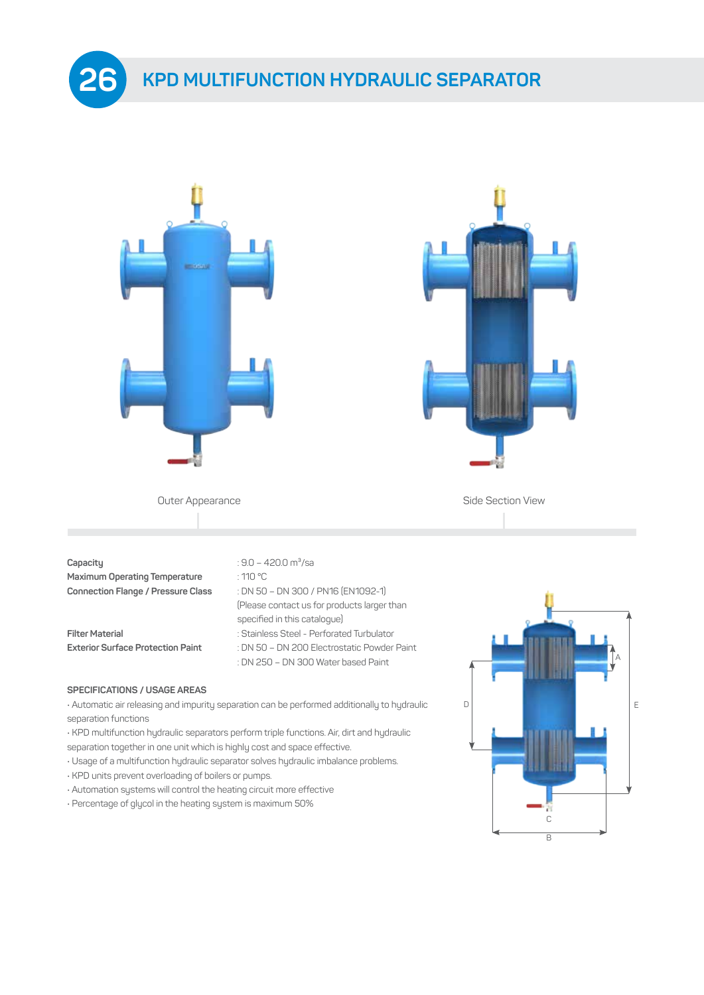



**Capacity Capacity Capacity Capacity Capacity Capacity Capacity Capacity Capacity Capacity Capacity Capacity Capacity Capacity Capacity Capacity Capacity Capacity Capacity Capacity C Maximum Operating Temperature** : 110 °C **Connection Flange / Pressure Class** : DN 50 – DN 300 / PN16 (EN1092-1)

**26**

- 
- 

 (Please contact us for products larger than specified in this catalogue) **Filter Material** : Stainless Steel - Perforated Turbulator

**Exterior Surface Protection Paint** : DN 50 – DN 200 Electrostatic Powder Paint : DN 250 – DN 300 Water based Paint

#### **SPECIFICATIONS / USAGE AREAS**

• Automatic air releasing and impurity separation can be performed additionally to hydraulic separation functions

- KPD multifunction hydraulic separators perform triple functions. Air, dirt and hydraulic
- separation together in one unit which is highly cost and space effective.
- Usage of a multifunction hydraulic separator solves hydraulic imbalance problems.
- KPD units prevent overloading of boilers or pumps.
- Automation systems will control the heating circuit more effective
- Percentage of glycol in the heating system is maximum 50%